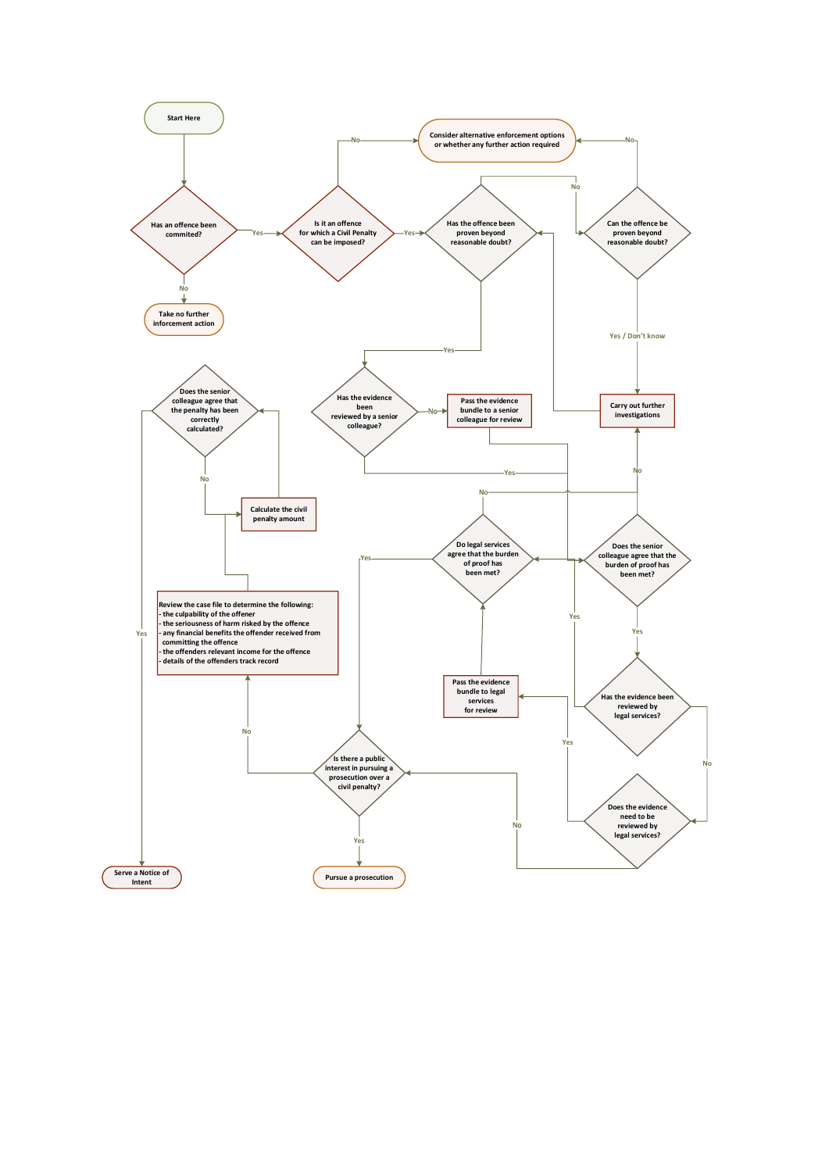